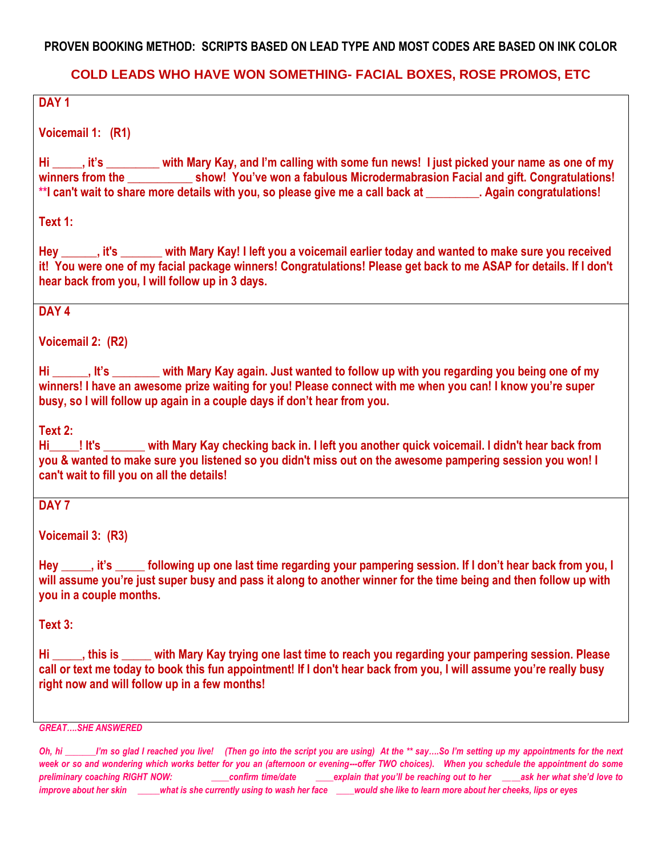#### **PROVEN BOOKING METHOD: SCRIPTS BASED ON LEAD TYPE AND MOST CODES ARE BASED ON INK COLOR**

#### **COLD LEADS WHO HAVE WON SOMETHING- FACIAL BOXES, ROSE PROMOS, ETC**

#### **DAY 1**

**Voicemail 1: (R1)**

**Hi \_\_\_\_\_, it's \_\_\_\_\_\_\_\_\_ with Mary Kay, and I'm calling with some fun news! I just picked your name as one of my winners from the \_\_\_\_\_\_\_\_\_\_\_ show! You've won a fabulous Microdermabrasion Facial and gift. Congratulations! \*\*I can't wait to share more details with you, so please give me a call back at \_\_\_\_\_\_\_\_\_. Again congratulations!** 

**Text 1:**

**Hey \_\_\_\_\_\_, it's \_\_\_\_\_\_\_ with Mary Kay! I left you a voicemail earlier today and wanted to make sure you received it! You were one of my facial package winners! Congratulations! Please get back to me ASAP for details. If I don't hear back from you, I will follow up in 3 days.**

#### **DAY 4**

**Voicemail 2: (R2)**

**Hi \_\_\_\_\_\_, It's \_\_\_\_\_\_\_\_ with Mary Kay again. Just wanted to follow up with you regarding you being one of my winners! I have an awesome prize waiting for you! Please connect with me when you can! I know you're super busy, so I will follow up again in a couple days if don't hear from you.**

**Text 2:**

**Hi\_\_\_\_\_! It's \_\_\_\_\_\_\_ with Mary Kay checking back in. I left you another quick voicemail. I didn't hear back from you & wanted to make sure you listened so you didn't miss out on the awesome pampering session you won! I can't wait to fill you on all the details!**

#### **DAY 7**

**Voicemail 3: (R3)**

**Hey \_\_\_\_\_, it's \_\_\_\_\_ following up one last time regarding your pampering session. If I don't hear back from you, I will assume you're just super busy and pass it along to another winner for the time being and then follow up with you in a couple months.**

**Text 3:**

**Hi \_\_\_\_\_, this is \_\_\_\_\_ with Mary Kay trying one last time to reach you regarding your pampering session. Please call or text me today to book this fun appointment! If I don't hear back from you, I will assume you're really busy right now and will follow up in a few months!**

*GREAT….SHE ANSWERED*

*Oh, hi \_\_\_\_\_\_\_I'm so glad I reached you live! (Then go into the script you are using) At the \*\* say….So I'm setting up my appointments for the next*  week or so and wondering which works better for you an (afternoon or evening---offer TWO choices). When you schedule the appointment do some *preliminary coaching RIGHT NOW: \_\_\_\_confirm time/date \_\_\_\_explain that you'll be reaching out to her \_\_\_\_ask her what she'd love to improve about her skin \_\_\_\_\_what is she currently using to wash her face \_\_\_\_would she like to learn more about her cheeks, lips or eyes*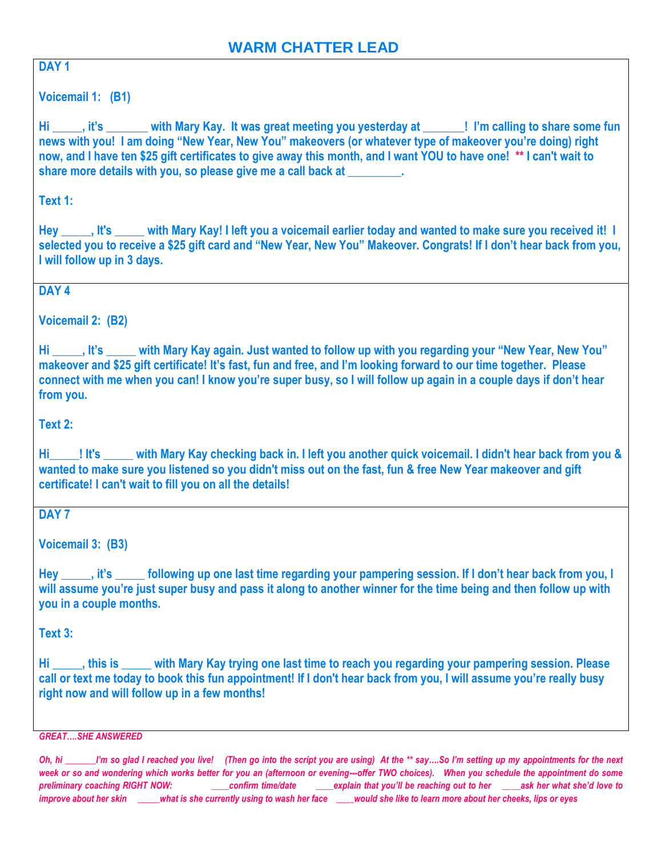# **DAY 1**

**Voicemail 1: (B1)**

**Hi \_\_\_\_\_, it's \_\_\_\_\_\_\_ with Mary Kay. It was great meeting you yesterday at \_\_\_\_\_\_\_! I'm calling to share some fun news with you! I am doing "New Year, New You" makeovers (or whatever type of makeover you're doing) right now, and I have ten \$25 gift certificates to give away this month, and I want YOU to have one! \*\* I can't wait to share more details with you, so please give me a call back at \_\_\_\_\_\_\_\_\_.** 

**Text 1:**

**Hey \_\_\_\_\_, It's \_\_\_\_\_ with Mary Kay! I left you a voicemail earlier today and wanted to make sure you received it! I selected you to receive a \$25 gift card and "New Year, New You" Makeover. Congrats! If I don't hear back from you, I will follow up in 3 days.**

## **DAY 4**

**Voicemail 2: (B2)**

**Hi \_\_\_\_\_, It's \_\_\_\_\_ with Mary Kay again. Just wanted to follow up with you regarding your "New Year, New You" makeover and \$25 gift certificate! It's fast, fun and free, and I'm looking forward to our time together. Please connect with me when you can! I know you're super busy, so I will follow up again in a couple days if don't hear from you.**

**Text 2:**

**Hi\_\_\_\_\_! It's \_\_\_\_\_ with Mary Kay checking back in. I left you another quick voicemail. I didn't hear back from you & wanted to make sure you listened so you didn't miss out on the fast, fun & free New Year makeover and gift certificate! I can't wait to fill you on all the details!**

**DAY 7**

**Voicemail 3: (B3)**

**Hey \_\_\_\_\_, it's \_\_\_\_\_ following up one last time regarding your pampering session. If I don't hear back from you, I will assume you're just super busy and pass it along to another winner for the time being and then follow up with you in a couple months.**

**Text 3:**

**Hi \_\_\_\_\_, this is \_\_\_\_\_ with Mary Kay trying one last time to reach you regarding your pampering session. Please call or text me today to book this fun appointment! If I don't hear back from you, I will assume you're really busy right now and will follow up in a few months!**

*GREAT….SHE ANSWERED*

*Oh, hi \_\_\_\_\_\_\_I'm so glad I reached you live! (Then go into the script you are using) At the \*\* say….So I'm setting up my appointments for the next week or so and wondering which works better for you an (afternoon or evening---offer TWO choices). When you schedule the appointment do some preliminary coaching RIGHT NOW: \_\_\_\_confirm time/date \_\_\_\_explain that you'll be reaching out to her \_\_\_\_ask her what she'd love to improve about her skin \_\_\_\_\_what is she currently using to wash her face \_\_\_\_would she like to learn more about her cheeks, lips or eyes*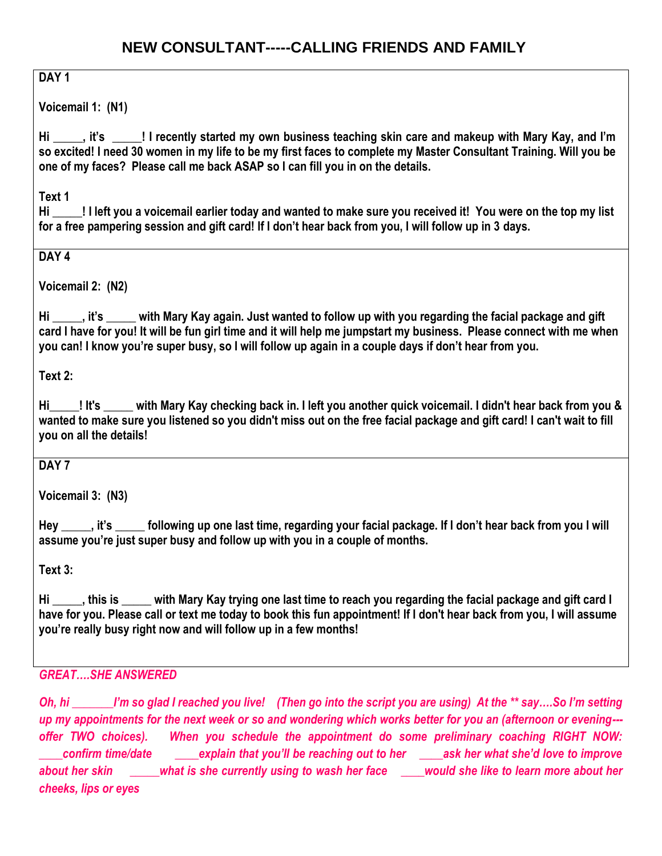# **DAY 1**

**Voicemail 1: (N1)** 

**Hi \_\_\_\_\_, it's \_\_\_\_\_! I recently started my own business teaching skin care and makeup with Mary Kay, and I'm so excited! I need 30 women in my life to be my first faces to complete my Master Consultant Training. Will you be one of my faces? Please call me back ASAP so I can fill you in on the details.**

**Text 1** 

**Hi \_\_\_\_\_! I left you a voicemail earlier today and wanted to make sure you received it! You were on the top my list for a free pampering session and gift card! If I don't hear back from you, I will follow up in 3 days.**

## **DAY 4**

**Voicemail 2: (N2)**

**Hi \_\_\_\_\_, it's \_\_\_\_\_ with Mary Kay again. Just wanted to follow up with you regarding the facial package and gift card I have for you! It will be fun girl time and it will help me jumpstart my business. Please connect with me when you can! I know you're super busy, so I will follow up again in a couple days if don't hear from you.**

**Text 2:**

**Hi\_\_\_\_\_! It's \_\_\_\_\_ with Mary Kay checking back in. I left you another quick voicemail. I didn't hear back from you & wanted to make sure you listened so you didn't miss out on the free facial package and gift card! I can't wait to fill you on all the details!**

#### **DAY 7**

**Voicemail 3: (N3)**

**Hey \_\_\_\_\_, it's \_\_\_\_\_ following up one last time, regarding your facial package. If I don't hear back from you I will assume you're just super busy and follow up with you in a couple of months.**

**Text 3:**

**Hi \_\_\_\_\_, this is \_\_\_\_\_ with Mary Kay trying one last time to reach you regarding the facial package and gift card I have for you. Please call or text me today to book this fun appointment! If I don't hear back from you, I will assume you're really busy right now and will follow up in a few months!**

#### *GREAT….SHE ANSWERED*

*Oh, hi \_\_\_\_\_\_\_I'm so glad I reached you live! (Then go into the script you are using) At the \*\* say….So I'm setting up my appointments for the next week or so and wondering which works better for you an (afternoon or evening-- offer TWO choices). When you schedule the appointment do some preliminary coaching RIGHT NOW: \_\_\_\_confirm time/date \_\_\_\_explain that you'll be reaching out to her \_\_\_\_ask her what she'd love to improve about her skin \_\_\_\_\_what is she currently using to wash her face \_\_\_\_would she like to learn more about her cheeks, lips or eyes*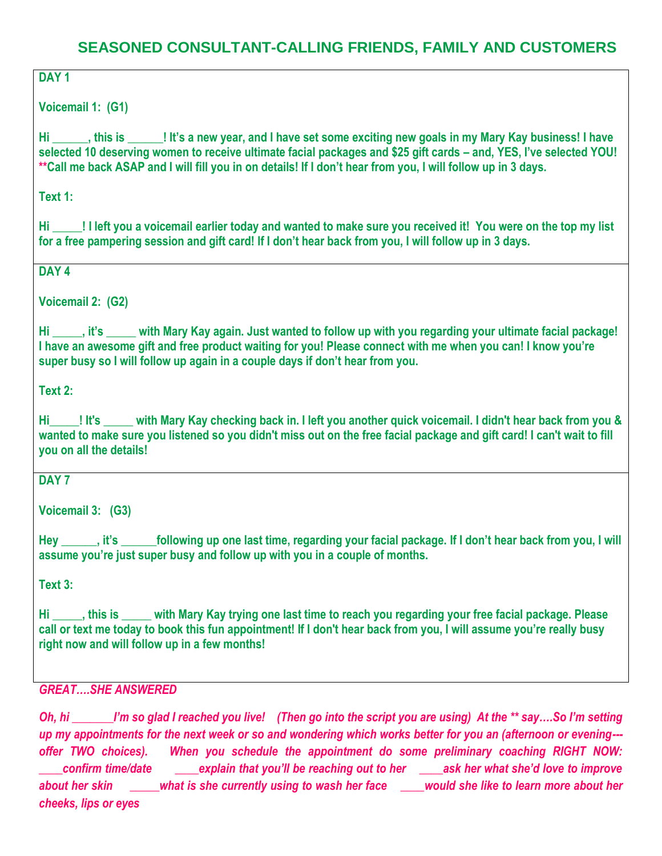# **SEASONED CONSULTANT-CALLING FRIENDS, FAMILY AND CUSTOMERS**

# **DAY 1**

**Voicemail 1: (G1)** 

**Hi \_\_\_\_\_\_, this is \_\_\_\_\_\_! It's a new year, and I have set some exciting new goals in my Mary Kay business! I have selected 10 deserving women to receive ultimate facial packages and \$25 gift cards – and, YES, I've selected YOU! \*\*Call me back ASAP and I will fill you in on details! If I don't hear from you, I will follow up in 3 days.**

**Text 1:**

**Hi \_\_\_\_\_! I left you a voicemail earlier today and wanted to make sure you received it! You were on the top my list for a free pampering session and gift card! If I don't hear back from you, I will follow up in 3 days.**

**DAY 4**

**Voicemail 2: (G2)**

**Hi \_\_\_\_\_, it's \_\_\_\_\_ with Mary Kay again. Just wanted to follow up with you regarding your ultimate facial package! I have an awesome gift and free product waiting for you! Please connect with me when you can! I know you're super busy so I will follow up again in a couple days if don't hear from you.**

**Text 2:**

**Hi\_\_\_\_\_! It's \_\_\_\_\_ with Mary Kay checking back in. I left you another quick voicemail. I didn't hear back from you & wanted to make sure you listened so you didn't miss out on the free facial package and gift card! I can't wait to fill you on all the details!**

**DAY 7**

**Voicemail 3: (G3)**

**Hey \_\_\_\_\_\_, it's \_\_\_\_\_\_following up one last time, regarding your facial package. If I don't hear back from you, I will assume you're just super busy and follow up with you in a couple of months.**

**Text 3:**

**Hi \_\_\_\_\_, this is \_\_\_\_\_ with Mary Kay trying one last time to reach you regarding your free facial package. Please call or text me today to book this fun appointment! If I don't hear back from you, I will assume you're really busy right now and will follow up in a few months!**

*GREAT….SHE ANSWERED*

*Oh, hi \_\_\_\_\_\_\_I'm so glad I reached you live! (Then go into the script you are using) At the \*\* say….So I'm setting up my appointments for the next week or so and wondering which works better for you an (afternoon or evening-- offer TWO choices). When you schedule the appointment do some preliminary coaching RIGHT NOW: \_\_\_\_confirm time/date \_\_\_\_explain that you'll be reaching out to her \_\_\_\_ask her what she'd love to improve about her skin \_\_\_\_\_what is she currently using to wash her face \_\_\_\_would she like to learn more about her cheeks, lips or eyes*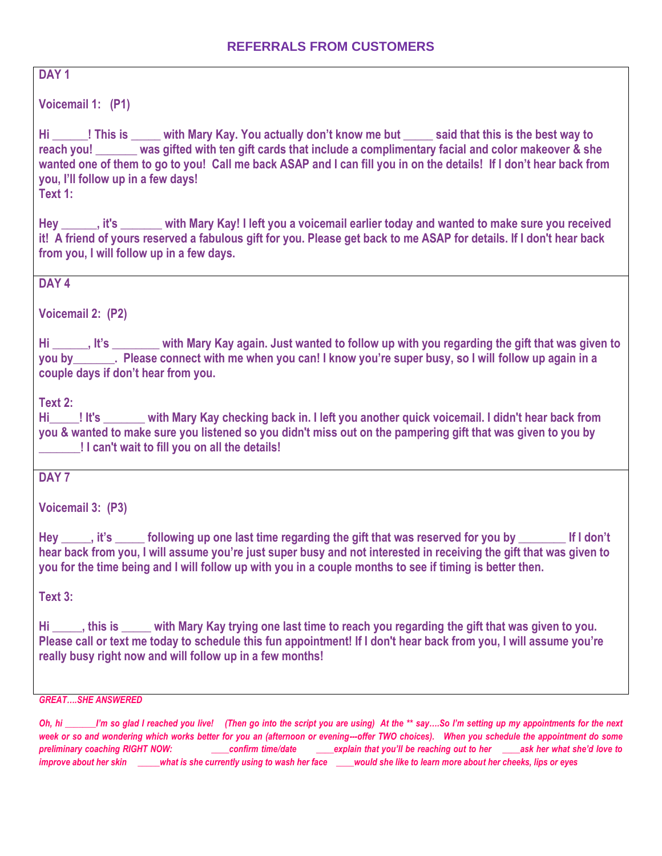#### **REFERRALS FROM CUSTOMERS**

**DAY 1**

**Voicemail 1: (P1)**

**Hi \_\_\_\_\_\_! This is \_\_\_\_\_ with Mary Kay. You actually don't know me but \_\_\_\_\_ said that this is the best way to reach you! \_\_\_\_\_\_\_ was gifted with ten gift cards that include a complimentary facial and color makeover & she wanted one of them to go to you! Call me back ASAP and I can fill you in on the details! If I don't hear back from you, I'll follow up in a few days!** 

**Text 1:**

**Hey \_\_\_\_\_\_, it's \_\_\_\_\_\_\_ with Mary Kay! I left you a voicemail earlier today and wanted to make sure you received it! A friend of yours reserved a fabulous gift for you. Please get back to me ASAP for details. If I don't hear back from you, I will follow up in a few days.** 

**DAY 4**

**Voicemail 2: (P2)**

**Hi \_\_\_\_\_\_, It's \_\_\_\_\_\_\_\_ with Mary Kay again. Just wanted to follow up with you regarding the gift that was given to you by\_\_\_\_\_\_\_. Please connect with me when you can! I know you're super busy, so I will follow up again in a couple days if don't hear from you.**

**Text 2:**

**Hi\_\_\_\_\_! It's \_\_\_\_\_\_\_ with Mary Kay checking back in. I left you another quick voicemail. I didn't hear back from you & wanted to make sure you listened so you didn't miss out on the pampering gift that was given to you by \_\_\_\_\_\_\_! I can't wait to fill you on all the details!**

**DAY 7**

**Voicemail 3: (P3)**

Hey it's following up one last time regarding the gift that was reserved for you by **if I don't hear back from you, I will assume you're just super busy and not interested in receiving the gift that was given to you for the time being and I will follow up with you in a couple months to see if timing is better then.** 

**Text 3:**

**Hi \_\_\_\_\_, this is \_\_\_\_\_ with Mary Kay trying one last time to reach you regarding the gift that was given to you. Please call or text me today to schedule this fun appointment! If I don't hear back from you, I will assume you're really busy right now and will follow up in a few months!**

*GREAT….SHE ANSWERED*

*Oh, hi \_\_\_\_\_\_\_I'm so glad I reached you live! (Then go into the script you are using) At the \*\* say….So I'm setting up my appointments for the next*  week or so and wondering which works better for you an (afternoon or evening---offer TWO choices). When you schedule the appointment do some *preliminary coaching RIGHT NOW: \_\_\_\_confirm time/date \_\_\_\_explain that you'll be reaching out to her \_\_\_\_ask her what she'd love to improve about her skin \_\_\_\_\_what is she currently using to wash her face \_\_\_\_would she like to learn more about her cheeks, lips or eyes*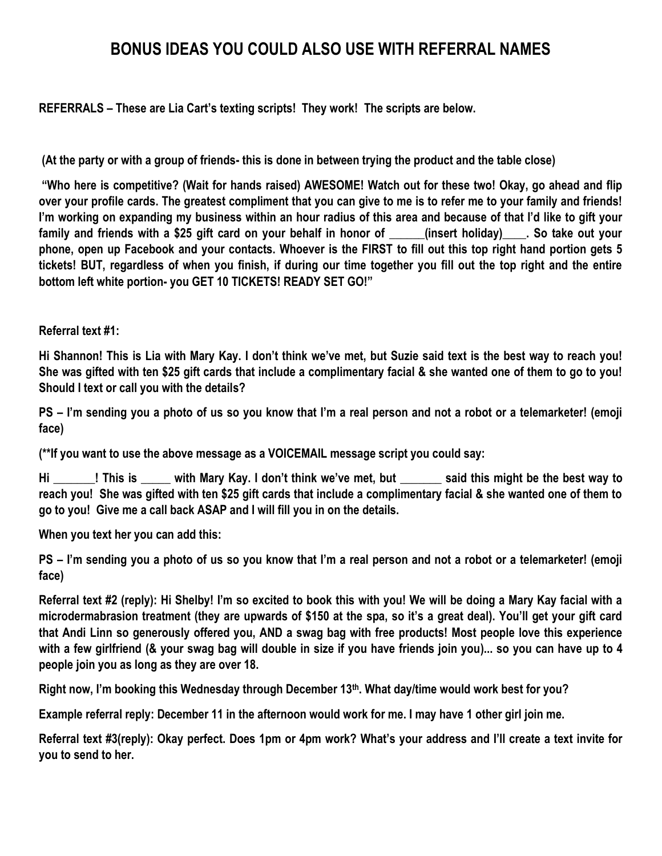# **BONUS IDEAS YOU COULD ALSO USE WITH REFERRAL NAMES**

**REFERRALS – These are Lia Cart's texting scripts! They work! The scripts are below.**

**(At the party or with a group of friends- this is done in between trying the product and the table close)**

**"Who here is competitive? (Wait for hands raised) AWESOME! Watch out for these two! Okay, go ahead and flip over your profile cards. The greatest compliment that you can give to me is to refer me to your family and friends! I'm working on expanding my business within an hour radius of this area and because of that I'd like to gift your**  family and friends with a \$25 gift card on your behalf in honor of **the latt in and the fact of the fact of the i phone, open up Facebook and your contacts. Whoever is the FIRST to fill out this top right hand portion gets 5 tickets! BUT, regardless of when you finish, if during our time together you fill out the top right and the entire bottom left white portion- you GET 10 TICKETS! READY SET GO!"**

#### **Referral text #1:**

**Hi Shannon! This is Lia with Mary Kay. I don't think we've met, but Suzie said text is the best way to reach you! She was gifted with ten \$25 gift cards that include a complimentary facial & she wanted one of them to go to you! Should I text or call you with the details?** 

**PS – I'm sending you a photo of us so you know that I'm a real person and not a robot or a telemarketer! (emoji face)**

**(\*\*If you want to use the above message as a VOICEMAIL message script you could say:**

**Hi \_\_\_\_\_\_\_! This is \_\_\_\_\_ with Mary Kay. I don't think we've met, but \_\_\_\_\_\_\_ said this might be the best way to reach you! She was gifted with ten \$25 gift cards that include a complimentary facial & she wanted one of them to go to you! Give me a call back ASAP and I will fill you in on the details.** 

**When you text her you can add this:**

**PS – I'm sending you a photo of us so you know that I'm a real person and not a robot or a telemarketer! (emoji face)**

**Referral text #2 (reply): Hi Shelby! I'm so excited to book this with you! We will be doing a Mary Kay facial with a microdermabrasion treatment (they are upwards of \$150 at the spa, so it's a great deal). You'll get your gift card that Andi Linn so generously offered you, AND a swag bag with free products! Most people love this experience with a few girlfriend (& your swag bag will double in size if you have friends join you)... so you can have up to 4 people join you as long as they are over 18.**

**Right now, I'm booking this Wednesday through December 13th. What day/time would work best for you?**

**Example referral reply: December 11 in the afternoon would work for me. I may have 1 other girl join me.**

**Referral text #3(reply): Okay perfect. Does 1pm or 4pm work? What's your address and I'll create a text invite for you to send to her.**